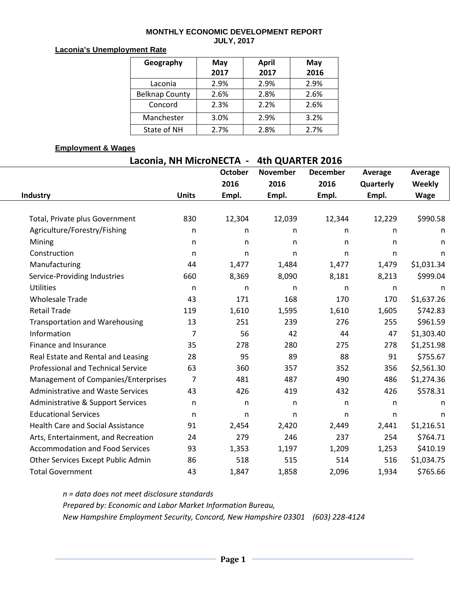#### **MONTHLY ECONOMIC DEVELOPMENT REPORT JULY, 2017**

#### **Laconia's Unemployment Rate**

| Geography             | May  | <b>April</b> | May  |  |  |
|-----------------------|------|--------------|------|--|--|
|                       | 2017 | 2017         | 2016 |  |  |
| Laconia               | 2.9% | 2.9%         | 2.9% |  |  |
| <b>Belknap County</b> | 2.6% | 2.8%         | 2.6% |  |  |
| Concord               | 2.3% | 2.2%         | 2.6% |  |  |
| Manchester            | 3.0% | 2.9%         | 3.2% |  |  |
| State of NH           | 2.7% | 2.8%         | 2.7% |  |  |

### **Employment & Wages**

# **Laconia, NH MicroNECTA - 4th QUARTER 2016**

|                                           |              | <b>October</b> | <b>November</b> | <b>December</b> | Average      | Average      |
|-------------------------------------------|--------------|----------------|-----------------|-----------------|--------------|--------------|
|                                           |              | 2016           | 2016            | 2016            | Quarterly    | Weekly       |
| Industry                                  | <b>Units</b> | Empl.          | Empl.           | Empl.           | Empl.        | <b>Wage</b>  |
|                                           |              |                |                 |                 |              |              |
| Total, Private plus Government            | 830          | 12,304         | 12,039          | 12,344          | 12,229       | \$990.58     |
| Agriculture/Forestry/Fishing              | n            | n              | n               | n               | n            | n            |
| Mining                                    | n            | n              | $\mathsf{n}$    | n               | n            | n            |
| Construction                              | $\mathsf{n}$ | n              | $\mathsf{n}$    | n               | $\mathsf{n}$ | n            |
| Manufacturing                             | 44           | 1,477          | 1,484           | 1,477           | 1,479        | \$1,031.34   |
| Service-Providing Industries              | 660          | 8,369          | 8,090           | 8,181           | 8,213        | \$999.04     |
| <b>Utilities</b>                          | n            | n              | n               | n               | n            | n            |
| <b>Wholesale Trade</b>                    | 43           | 171            | 168             | 170             | 170          | \$1,637.26   |
| <b>Retail Trade</b>                       | 119          | 1,610          | 1,595           | 1,610           | 1,605        | \$742.83     |
| <b>Transportation and Warehousing</b>     | 13           | 251            | 239             | 276             | 255          | \$961.59     |
| Information                               | 7            | 56             | 42              | 44              | 47           | \$1,303.40   |
| Finance and Insurance                     | 35           | 278            | 280             | 275             | 278          | \$1,251.98   |
| Real Estate and Rental and Leasing        | 28           | 95             | 89              | 88              | 91           | \$755.67     |
| <b>Professional and Technical Service</b> | 63           | 360            | 357             | 352             | 356          | \$2,561.30   |
| Management of Companies/Enterprises       | 7            | 481            | 487             | 490             | 486          | \$1,274.36   |
| <b>Administrative and Waste Services</b>  | 43           | 426            | 419             | 432             | 426          | \$578.31     |
| Administrative & Support Services         | n            | n              | n               | n               | n            | n            |
| <b>Educational Services</b>               | n            | n              | n               | n               | n            | $\mathsf{n}$ |
| <b>Health Care and Social Assistance</b>  | 91           | 2,454          | 2,420           | 2,449           | 2,441        | \$1,216.51   |
| Arts, Entertainment, and Recreation       | 24           | 279            | 246             | 237             | 254          | \$764.71     |
| <b>Accommodation and Food Services</b>    | 93           | 1,353          | 1,197           | 1,209           | 1,253        | \$410.19     |
| Other Services Except Public Admin        | 86           | 518            | 515             | 514             | 516          | \$1,034.75   |
| <b>Total Government</b>                   | 43           | 1,847          | 1,858           | 2,096           | 1,934        | \$765.66     |

*n = data does not meet disclosure standards Prepared by: Economic and Labor Market Information Bureau, New Hampshire Employment Security, Concord, New Hampshire 03301 (603) 228-4124*